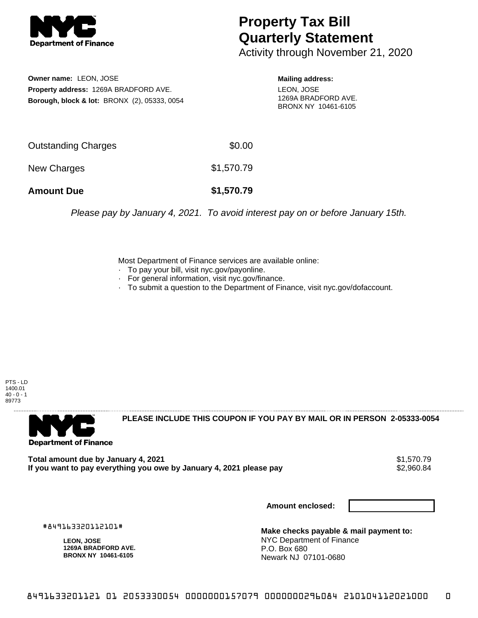

## **Property Tax Bill Quarterly Statement**

Activity through November 21, 2020

**Owner name:** LEON, JOSE **Property address:** 1269A BRADFORD AVE. **Borough, block & lot:** BRONX (2), 05333, 0054 **Mailing address:** LEON, JOSE 1269A BRADFORD AVE. BRONX NY 10461-6105

| <b>Amount Due</b>   | \$1,570.79 |
|---------------------|------------|
| New Charges         | \$1,570.79 |
| Outstanding Charges | \$0.00     |

Please pay by January 4, 2021. To avoid interest pay on or before January 15th.

Most Department of Finance services are available online:

- · To pay your bill, visit nyc.gov/payonline.
- For general information, visit nyc.gov/finance.
- · To submit a question to the Department of Finance, visit nyc.gov/dofaccount.

PTS - LD 1400.01  $40 - 0 - 1$ 89773



**PLEASE INCLUDE THIS COUPON IF YOU PAY BY MAIL OR IN PERSON 2-05333-0054** 

Total amount due by January 4, 2021<br>If you want to pay everything you owe by January 4, 2021 please pay **show that the set of the set of the set of** If you want to pay everything you owe by January 4, 2021 please pay

**Amount enclosed:**

#849163320112101#

**LEON, JOSE 1269A BRADFORD AVE. BRONX NY 10461-6105**

**Make checks payable & mail payment to:** NYC Department of Finance P.O. Box 680 Newark NJ 07101-0680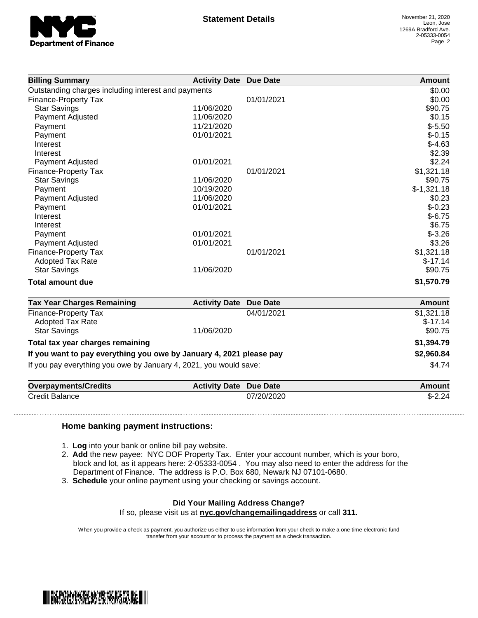

| <b>Billing Summary</b>                              | <b>Activity Date Due Date</b> |            | <b>Amount</b> |
|-----------------------------------------------------|-------------------------------|------------|---------------|
| Outstanding charges including interest and payments |                               |            | \$0.00        |
| Finance-Property Tax                                |                               | 01/01/2021 | \$0.00        |
| <b>Star Savings</b>                                 | 11/06/2020                    |            | \$90.75       |
| Payment Adjusted                                    | 11/06/2020                    |            | \$0.15        |
| Payment                                             | 11/21/2020                    |            | $$-5.50$      |
| Payment                                             | 01/01/2021                    |            | $$-0.15$      |
| Interest                                            |                               |            | $$-4.63$      |
| Interest                                            |                               |            | \$2.39        |
| <b>Payment Adjusted</b>                             | 01/01/2021                    |            | \$2.24        |
| Finance-Property Tax                                |                               | 01/01/2021 | \$1,321.18    |
| <b>Star Savings</b>                                 | 11/06/2020                    |            | \$90.75       |
| Payment                                             | 10/19/2020                    |            | $$-1,321.18$  |
| Payment Adjusted                                    | 11/06/2020                    |            | \$0.23        |
| Payment                                             | 01/01/2021                    |            | $$-0.23$      |
| Interest                                            |                               |            | $$-6.75$      |
| Interest                                            |                               |            | \$6.75        |
| Payment                                             | 01/01/2021                    |            | $$-3.26$      |
| Payment Adjusted                                    | 01/01/2021                    |            | \$3.26        |
| Finance-Property Tax                                |                               | 01/01/2021 | \$1,321.18    |
| <b>Adopted Tax Rate</b>                             |                               |            | $$-17.14$     |
| <b>Star Savings</b>                                 | 11/06/2020                    |            | \$90.75       |
| <b>Total amount due</b>                             |                               |            | \$1,570.79    |

| <b>Tax Year Charges Remaining</b>                                   | <b>Activity Date Due Date</b> |            | Amount     |
|---------------------------------------------------------------------|-------------------------------|------------|------------|
| Finance-Property Tax                                                |                               | 04/01/2021 | \$1,321.18 |
| Adopted Tax Rate                                                    |                               |            | $$-17.14$  |
| <b>Star Savings</b>                                                 | 11/06/2020                    |            | \$90.75    |
| Total tax year charges remaining                                    |                               |            | \$1,394.79 |
| If you want to pay everything you owe by January 4, 2021 please pay |                               | \$2,960.84 |            |
| If you pay everything you owe by January 4, 2021, you would save:   |                               |            | \$4.74     |

| <b>Overpayments/Credits</b> | <b>Activity Date Due Date</b> |            | Amount   |
|-----------------------------|-------------------------------|------------|----------|
| <b>Credit Balance</b>       |                               | 07/20/2020 | $$-2.24$ |

## **Home banking payment instructions:**

- 1. **Log** into your bank or online bill pay website.
- 2. **Add** the new payee: NYC DOF Property Tax. Enter your account number, which is your boro, block and lot, as it appears here: 2-05333-0054 . You may also need to enter the address for the Department of Finance. The address is P.O. Box 680, Newark NJ 07101-0680.
- 3. **Schedule** your online payment using your checking or savings account.

## **Did Your Mailing Address Change?**

If so, please visit us at **nyc.gov/changemailingaddress** or call **311.**

When you provide a check as payment, you authorize us either to use information from your check to make a one-time electronic fund transfer from your account or to process the payment as a check transaction.